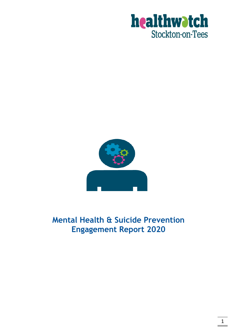



# **Mental Health & Suicide Prevention Engagement Report 2020**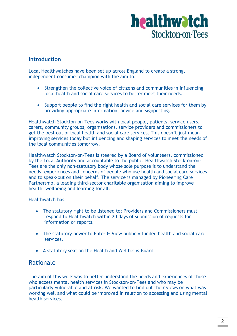#### **Introduction**

Local Healthwatches have been set up across England to create a strong, independent consumer champion with the aim to:

- Strengthen the collective voice of citizens and communities in influencing local health and social care services to better meet their needs.
- Support people to find the right health and social care services for them by providing appropriate information, advice and signposting.

Healthwatch Stockton-on-Tees works with local people, patients, service users, carers, community groups, organisations, service providers and commissioners to get the best out of local health and social care services. This doesn't just mean improving services today but influencing and shaping services to meet the needs of the local communities tomorrow.

Healthwatch Stockton-on-Tees is steered by a Board of volunteers, commissioned by the Local Authority and accountable to the public. Healthwatch Stockton-on-Tees are the only non-statutory body whose sole purpose is to understand the needs, experiences and concerns of people who use health and social care services and to speak-out on their behalf. The service is managed by Pioneering Care Partnership, a leading third-sector charitable organisation aiming to improve health, wellbeing and learning for all.

Healthwatch has:

- The statutory right to be listened to; Providers and Commissioners must respond to Healthwatch within 20 days of submission of requests for information or reports.
- The statutory power to Enter & View publicly funded health and social care services.
- A statutory seat on the Health and Wellbeing Board.

### Rationale

The aim of this work was to better understand the needs and experiences of those who access mental health services in Stockton-on-Tees and who may be particularly vulnerable and at risk. We wanted to find out their views on what was working well and what could be improved in relation to accessing and using mental health services.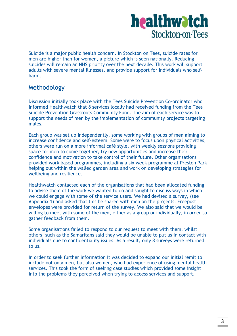Suicide is a major public health concern. In Stockton on Tees, suicide rates for men are higher than for women, a picture which is seen nationally. Reducing suicides will remain an NHS priority over the next decade. This work will support adults with severe mental illnesses, and provide support for individuals who selfharm.

### Methodology

Discussion initially took place with the Tees Suicide Prevention Co-ordinator who informed Healthwatch that 8 services locally had received funding from the Tees Suicide Prevention Grassroots Community Fund. The aim of each service was to support the needs of men by the implementation of community projects targeting males.

Each group was set up independently, some working with groups of men aiming to increase confidence and self-esteem. Some were to focus upon physical activities, others were run on a more informal café style, with weekly sessions providing space for men to come together, try new opportunities and increase their confidence and motivation to take control of their future. Other organisations provided work based programmes, including a six week programme at Preston Park helping out within the walled garden area and work on developing strategies for wellbeing and resilience.

Healthwatch contacted each of the organisations that had been allocated funding to advise them of the work we wanted to do and sought to discuss ways in which we could engage with some of the service users. We had devised a survey, (see Appendix 1) and asked that this be shared with men on the projects. Freepost envelopes were provided for return of the survey. We also said that we would be willing to meet with some of the men, either as a group or individually, in order to gather feedback from them.

Some organisations failed to respond to our request to meet with them, whilst others, such as the Samaritans said they would be unable to put us in contact with individuals due to confidentiality issues. As a result, only 8 surveys were returned to us.

In order to seek further information it was decided to expand our initial remit to include not only men, but also women, who had experience of using mental health services. This took the form of seeking case studies which provided some insight into the problems they perceived when trying to access services and support.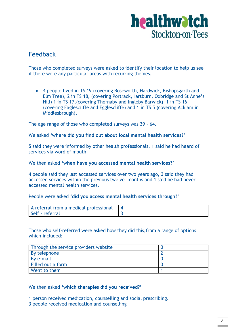

### Feedback

Those who completed surveys were asked to identify their location to help us see if there were any particular areas with recurring themes.

 4 people lived in TS 19 (covering Roseworth, Hardwick, Bishopsgarth and Elm Tree), 2 in TS 18, (covering Portrack,Hartburn, Oxbridge and St Anne's Hill) 1 in TS 17,(covering Thornaby and Ingleby Barwick) 1 in TS 16 (covering Eaglescilffe and Egglescliffe) and 1 in TS 5 (covering Acklam in Middlesbrough).

The age range of those who completed surveys was 39 – 64.

We asked **'where did you find out about local mental health services?'**

5 said they were informed by other health professionals, 1 said he had heard of services via word of mouth.

We then asked **'when have you accessed mental health services?'**

4 people said they last accessed services over two years ago, 3 said they had accessed services within the previous twelve months and 1 said he had never accessed mental health services.

People were asked **'did you access mental health services through?'**

| A referral from a medical professional |  |
|----------------------------------------|--|
| Self - referral                        |  |

Those who self-referred were asked how they did this,from a range of options which included:

| Through the service providers website |  |
|---------------------------------------|--|
| By telephone                          |  |
| By e-mail                             |  |
| Filled out a form                     |  |
| Went to them                          |  |

We then asked **'which therapies did you received?'**

1 person received medication, counselling and social prescribing.

3 people received medication and counselling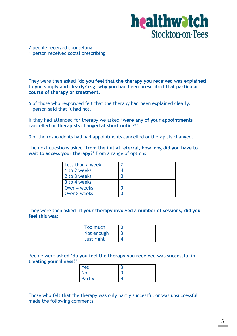

#### 2 people received counselling 1 person received social prescribing

They were then asked **'do you feel that the therapy you received was explained to you simply and clearly? e.g. why you had been prescribed that particular course of therapy or treatment.**

6 of those who responded felt that the therapy had been explained clearly. 1 person said that it had not.

If they had attended for therapy we asked **'were any of your appointments cancelled or therapists changed at short notice?'**

0 of the respondents had had appointments cancelled or therapists changed.

The next questions asked '**from the initial referral, how long did you have to wait to access your therapy?'** from a range of options:

| Less than a week |  |
|------------------|--|
| 1 to 2 weeks     |  |
| 2 to 3 weeks     |  |
| 3 to 4 weeks     |  |
| Over 4 weeks     |  |
| Over 8 weeks     |  |

They were then asked **'if your therapy involved a number of sessions, did you feel this was:**

| Too much   |  |
|------------|--|
| Not enough |  |
| Just right |  |

People were **asked 'do you feel the therapy you received was successful in treating your illness?'**

| Yes       |  |
|-----------|--|
| <b>No</b> |  |
| Partly    |  |

Those who felt that the therapy was only partly successful or was unsuccessful made the following comments: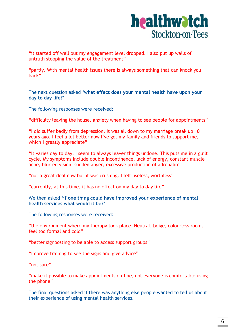

"it started off well but my engagement level dropped. I also put up walls of untruth stopping the value of the treatment"

"partly. With mental health issues there is always something that can knock you back"

The next question asked **'what effect does your mental health have upon your day to day life?'**

The following responses were received:

"difficulty leaving the house, anxiety when having to see people for appointments"

"I did suffer badly from depression. It was all down to my marriage break up 10 years ago. I feel a lot better now I've got my family and friends to support me, which I greatly appreciate"

"It varies day to day. I seem to always leaver things undone. This puts me in a guilt cycle. My symptoms include double incontinence, lack of energy, constant muscle ache, blurred vision, sudden anger, excessive production of adrenalin"

"not a great deal now but it was crushing. I felt useless, worthless"

"currently, at this time, it has no effect on my day to day life"

#### We then asked '**if one thing could have improved your experience of mental health services what would it be?'**

The following responses were received:

"the environment where my therapy took place. Neutral, beige, colourless rooms feel too formal and cold"

"better signposting to be able to access support groups"

"improve training to see the signs and give advice"

"not sure"

"make it possible to make appointments on-line, not everyone is comfortable using the phone"

The final questions asked if there was anything else people wanted to tell us about their experience of using mental health services.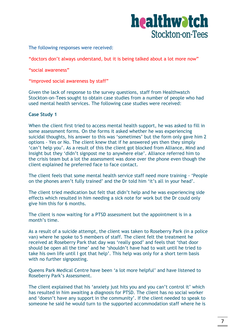

The following responses were received:

"doctors don't always understand, but it is being talked about a lot more now"

"social awareness"

"improved social awareness by staff"

Given the lack of response to the survey questions, staff from Healthwatch Stockton-on-Tees sought to obtain case studies from a number of people who had used mental health services. The following case studies were received:

#### **Case Study 1**

When the client first tried to access mental health support, he was asked to fill in some assessment forms. On the forms it asked whether he was experiencing suicidal thoughts, his answer to this was 'sometimes' but the form only gave him 2 options - Yes or No. The client knew that if he answered yes then they simply 'can't help you'. As a result of this the client got blocked from Alliance, Mind and Insight but they 'didn't signpost me to anywhere else'. Alliance referred him to the crisis team but a lot the assessment was done over the phone even though the client explained he preferred face to face contact.

The client feels that some mental health service staff need more training - 'People on the phones aren't fully trained' and the Dr told him 'it's all in your head'.

The client tried medication but felt that didn't help and he was experiencing side effects which resulted in him needing a sick note for work but the Dr could only give him this for 6 months.

The client is now waiting for a PTSD assessment but the appointment is in a month's time.

As a result of a suicide attempt, the client was taken to Roseberry Park (in a police van) where he spoke to 5 members of staff. The client felt the treatment he received at Roseberry Park that day was 'really good' and feels that 'that door should be open all the time' and he 'shouldn't have had to wait until he tried to take his own life until I got that help'. This help was only for a short term basis with no further signposting.

Queens Park Medical Centre have been 'a lot more helpful' and have listened to Roseberry Park's Assessment.

The client explained that his 'anxiety just hits you and you can't control it' which has resulted in him awaiting a diagnosis for PTSD. The client has no social worker and 'doesn't have any support in the community'. If the client needed to speak to someone he said he would turn to the supported accommodation staff where he is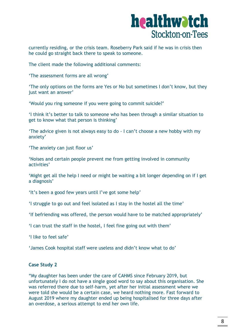currently residing, or the crisis team. Roseberry Park said if he was in crisis then he could go straight back there to speak to someone.

The client made the following additional comments:

'The assessment forms are all wrong'

'The only options on the forms are Yes or No but sometimes I don't know, but they just want an answer'

'Would you ring someone if you were going to commit suicide?'

'I think it's better to talk to someone who has been through a similar situation to get to know what that person is thinking'

'The advice given is not always easy to do - I can't choose a new hobby with my anxiety'

'The anxiety can just floor us'

'Noises and certain people prevent me from getting involved in community activities'

'Might get all the help I need or might be waiting a bit longer depending on if I get a diagnosis'

'It's been a good few years until I've got some help'

'I struggle to go out and feel isolated as I stay in the hostel all the time'

'If befriending was offered, the person would have to be matched appropriately'

'I can trust the staff in the hostel, I feel fine going out with them'

'I like to feel safe'

'James Cook hospital staff were useless and didn't know what to do'

#### **Case Study 2**

"My daughter has been under the care of CAHMS since February 2019, but unfortunately I do not have a single good word to say about this organisation. She was referred there due to self-harm, yet after her initial assessment where we were told she would be a certain case, we heard nothing more. Fast forward to August 2019 where my daughter ended up being hospitalised for three days after an overdose, a serious attempt to end her own life.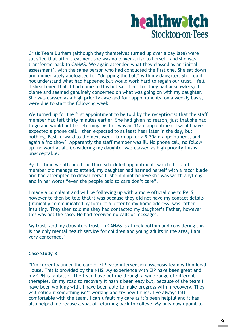Crisis Team Durham (although they themselves turned up over a day late) were satisfied that after treatment she was no longer a risk to herself, and she was transferred back to CAHMS. We again attended what they classed as an 'initial assessment', with the same person who had conducted the first one. She sat down and immediately apologised for "dropping the ball" with my daughter. She could not understand what had happened but would work hard to regain our trust. I felt disheartened that it had come to this but satisfied that they had acknowledged blame and seemed genuinely concerned on what was going on with my daughter. She was classed as a high priority case and four appointments, on a weekly basis, were due to start the following week.

We turned up for the first appointment to be told by the receptionist that the staff member had left thirty minutes earlier. She had given no reason, just that she had to go and would not be returning. As this was an 11am appointment I would have expected a phone call. I then expected to at least hear later in the day, but nothing. Fast forward to the next week, turn up for a 9.30am appointment, and again a 'no show'. Apparently the staff member was ill. No phone call, no follow up, no word at all. Considering my daughter was classed as high priority this is unacceptable.

By the time we attended the third scheduled appointment, which the staff member did manage to attend, my daughter had harmed herself with a razor blade and had attempted to drown herself. She did not believe she was worth anything and in her words "even the people paid to care don't care".

I made a complaint and will be following up with a more official one to PALS, however to then be told that it was because they did not have my contact details (ironically communicated by form of a letter to my home address) was rather insulting. They then told me they had contacted my daughter's Father, however this was not the case. He had received no calls or messages.

My trust, and my daughters trust, in CAHMS is at rock bottom and considering this is the only mental health service for children and young adults in the area, I am very concerned."

#### **Case Study 3**

"I'm currently under the care of EIP early intervention psychosis team within Ideal House. This is provided by the NHS. My experience with EIP have been great and my CPN is fantastic. The team have put me through a wide range of different therapies. On my road to recovery it hasn't been easy but, because of the team I have been working with, I have been able to make progress within recovery. They will notice if something isn't working and try new things. I've always felt comfortable with the team. I can't fault my care as it's been helpful and it has also helped me realise a goal of returning back to college. My only down point to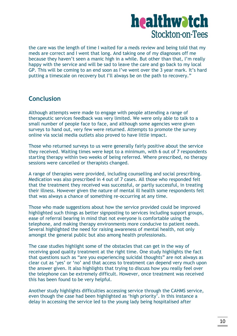the care was the length of time I waited for a meds review and being told that my meds are correct and I went that long. And taking one of my diagnoses off me because they haven't seen a manic high in a while. But other than that, I'm really happy with the service and will be sad to leave the care and go back to my local GP. This will be coming to an end soon as I've went over the 3 year mark. It's hard putting a timescale on recovery but I'll always be on the path to recovery."

### **Conclusion**

Although attempts were made to engage with people attending a range of therapeutic services feedback was very limited. We were only able to talk to a small number of people face to face, and although some agencies were given surveys to hand out, very few were returned. Attempts to promote the survey online via social media outlets also proved to have little impact.

Those who returned surveys to us were generally fairly positive about the service they received. Waiting times were kept to a minimum, with 6 out of 7 respondents starting therapy within two weeks of being referred. Where prescribed, no therapy sessions were cancelled or therapists changed.

A range of therapies were provided, including counselling and social prescribing. Medication was also prescribed in 4 out of 7 cases. All those who responded felt that the treatment they received was successful, or partly successful, in treating their illness. However given the nature of mental ill health some respondents felt that was always a chance of something re-occurring at any time.

Those who made suggestions about how the service provided could be improved highlighted such things as better signposting to services including support groups, ease of referral bearing in mind that not everyone is comfortable using the telephone, and making therapy environments more conducive to patient needs. Several highlighted the need for raising awareness of mental health, not only amongst the general public but also among health professionals.

The case studies highlight some of the obstacles that can get in the way of receiving good quality treatment at the right time. One study highlights the fact that questions such as "are you experiencing suicidal thoughts" are not always as clear cut as 'yes' or 'no' and that access to treatment can depend very much upon the answer given. It also highlights that trying to discuss how you really feel over the telephone can be extremely difficult. However, once treatment was received this has been found to be very helpful.

Another study highlights difficulties accessing service through the CAHMS service, even though the case had been highlighted as 'high priority'. In this instance a delay in accessing the service led to the young lady being hospitalised after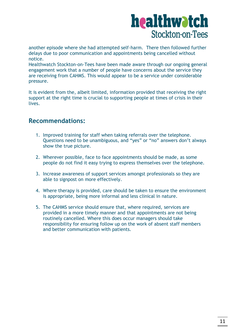another episode where she had attempted self-harm. There then followed further delays due to poor communication and appointments being cancelled without notice.

Healthwatch Stockton-on-Tees have been made aware through our ongoing general engagement work that a number of people have concerns about the service they are receiving from CAHMS. This would appear to be a service under considerable pressure.

It is evident from the, albeit limited, information provided that receiving the right support at the right time is crucial to supporting people at times of crisis in their lives.

### **Recommendations:**

- 1. Improved training for staff when taking referrals over the telephone. Questions need to be unambiguous, and "yes" or "no" answers don't always show the true picture.
- 2. Wherever possible, face to face appointments should be made, as some people do not find it easy trying to express themselves over the telephone.
- 3. Increase awareness of support services amongst professionals so they are able to signpost on more effectively.
- 4. Where therapy is provided, care should be taken to ensure the environment is appropriate, being more informal and less clinical in nature.
- 5. The CAHMS service should ensure that, where required, services are provided in a more timely manner and that appointments are not being routinely cancelled. Where this does occur managers should take responsibility for ensuring follow up on the work of absent staff members and better communication with patients.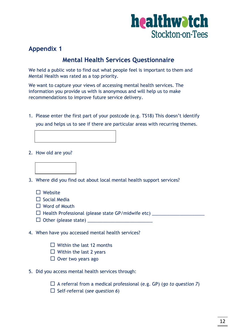

## **Appendix 1**

## **Mental Health Services Questionnaire**

We held a public vote to find out what people feel is important to them and Mental Health was rated as a top priority.

We want to capture your views of accessing mental health services. The information you provide us with is anonymous and will help us to make recommendations to improve future service delivery.

1. Please enter the first part of your postcode (e.g. TS18) This doesn't identify you and helps us to see if there are particular areas with recurring themes.



2. How old are you?



3. Where did you find out about local mental health support services?

- $\Box$  Website
- $\Box$  Social Media
- Word of Mouth
- Health Professional (please state GP/midwife etc) \_\_\_\_\_\_\_\_\_\_\_\_\_\_\_\_\_\_\_\_\_
- $\Box$  Other (please state)
- 4. When have you accessed mental health services?
	- $\Box$  Within the last 12 months
	- $\Box$  Within the last 2 years
	- $\Box$  Over two years ago
- 5. Did you access mental health services through:

A referral from a medical professional (e.g. GP) (*go to question 7*)

□ Self-referral (*see question 6*)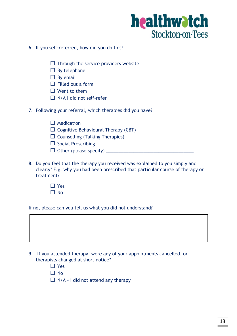

- 6. If you self-referred, how did you do this?
	- $\Box$  Through the service providers website
	- $\square$  By telephone
	- $\square$  By email
	- $\Box$  Filled out a form
	- $\square$  Went to them
	- $\Box$  N/A I did not self-refer
- 7. Following your referral, which therapies did you have?
	- $\Box$  Medication
	- $\Box$  Cognitive Behavioural Therapy (CBT)
	- $\square$  Counselling (Talking Therapies)
	- $\square$  Social Prescribing
	- Other (please specify) \_\_\_\_\_\_\_\_\_\_\_\_\_\_\_\_\_\_\_\_\_\_\_\_\_\_\_\_\_\_\_\_\_\_\_
- 8. Do you feel that the therapy you received was explained to you simply and clearly? E.g. why you had been prescribed that particular course of therapy or treatment?
	- □ Yes
	- $\Box$  No

If no, please can you tell us what you did not understand?



- □ Yes
- $\Box$  No
- $\Box$  N/A I did not attend any therapy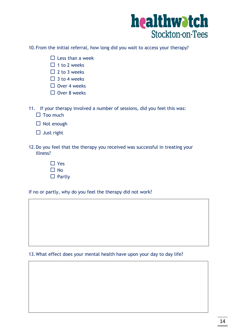

10.From the initial referral, how long did you wait to access your therapy?

- $\square$  Less than a week
- $\Box$  1 to 2 weeks
- $\Box$  2 to 3 weeks
- $\Box$  3 to 4 weeks
- $\Box$  Over 4 weeks
- $\Box$  Over 8 weeks
- 11. If your therapy involved a number of sessions, did you feel this was:
	- $\Box$  Too much
	- $\Box$  Not enough
	- $\Box$  Just right
- 12.Do you feel that the therapy you received was successful in treating your illness?
	- □ Yes  $\Box$  No  $\square$  Partly

If no or partly, why do you feel the therapy did not work?

13.What effect does your mental health have upon your day to day life?